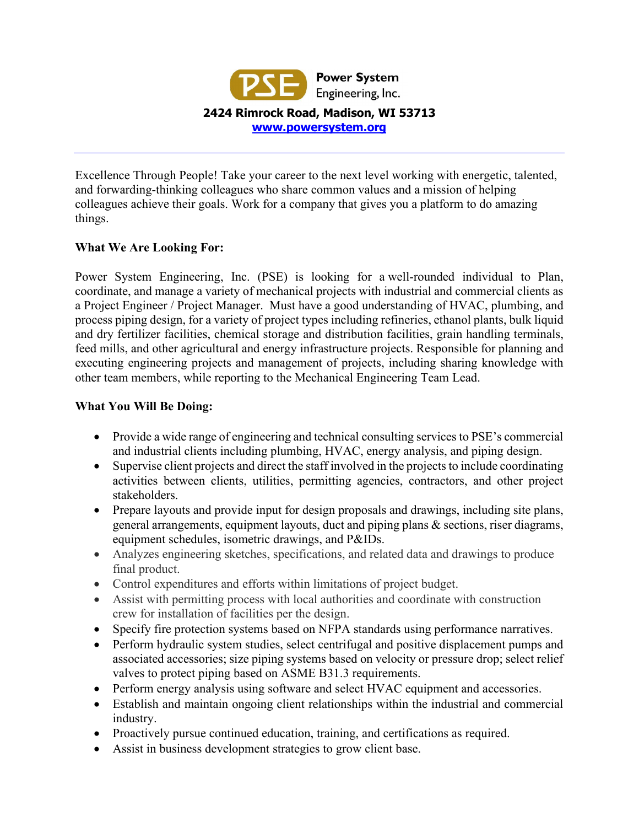

Excellence Through People! Take your career to the next level working with energetic, talented, and forwarding-thinking colleagues who share common values and a mission of helping colleagues achieve their goals. Work for a company that gives you a platform to do amazing things.

#### **What We Are Looking For:**

Power System Engineering, Inc. (PSE) is looking for a well-rounded individual to Plan, coordinate, and manage a variety of mechanical projects with industrial and commercial clients as a Project Engineer / Project Manager. Must have a good understanding of HVAC, plumbing, and process piping design, for a variety of project types including refineries, ethanol plants, bulk liquid and dry fertilizer facilities, chemical storage and distribution facilities, grain handling terminals, feed mills, and other agricultural and energy infrastructure projects. Responsible for planning and executing engineering projects and management of projects, including sharing knowledge with other team members, while reporting to the Mechanical Engineering Team Lead.

#### **What You Will Be Doing:**

- Provide a wide range of engineering and technical consulting services to PSE's commercial and industrial clients including plumbing, HVAC, energy analysis, and piping design.
- Supervise client projects and direct the staff involved in the projects to include coordinating activities between clients, utilities, permitting agencies, contractors, and other project stakeholders.
- Prepare layouts and provide input for design proposals and drawings, including site plans, general arrangements, equipment layouts, duct and piping plans & sections, riser diagrams, equipment schedules, isometric drawings, and P&IDs.
- Analyzes engineering sketches, specifications, and related data and drawings to produce final product.
- Control expenditures and efforts within limitations of project budget.
- Assist with permitting process with local authorities and coordinate with construction crew for installation of facilities per the design.
- Specify fire protection systems based on NFPA standards using performance narratives.
- Perform hydraulic system studies, select centrifugal and positive displacement pumps and associated accessories; size piping systems based on velocity or pressure drop; select relief valves to protect piping based on ASME B31.3 requirements.
- Perform energy analysis using software and select HVAC equipment and accessories.
- Establish and maintain ongoing client relationships within the industrial and commercial industry.
- Proactively pursue continued education, training, and certifications as required.
- Assist in business development strategies to grow client base.